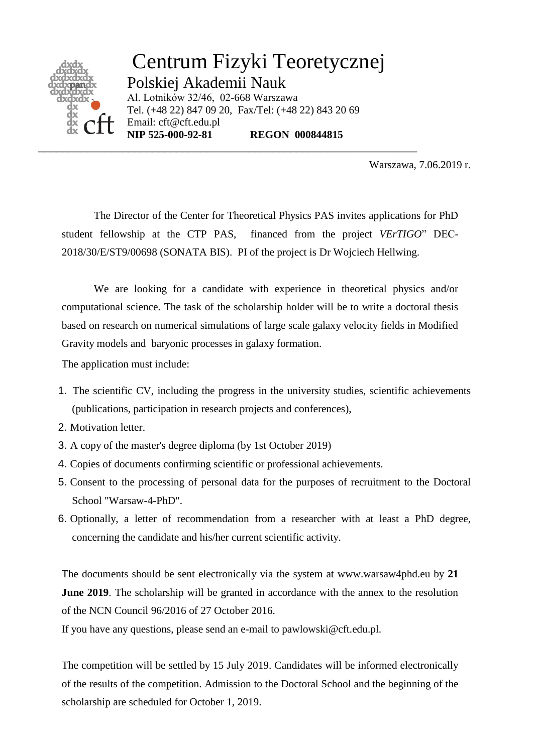

Centrum Fizyki Teoretycznej Polskiej Akademii Nauk Al. Lotników 32/46, 02-668 Warszawa Tel. (+48 22) 847 09 20, Fax/Tel: (+48 22) 843 20 69 Email: cft@cft.edu.pl<br>NIP 525-000-92-81 **REGON 000844815** 

\_\_\_\_\_\_\_\_\_\_\_\_\_\_\_\_\_\_\_\_\_\_\_\_\_\_\_\_\_\_\_\_\_\_\_\_\_\_\_\_\_\_\_\_\_\_\_\_\_\_\_\_\_\_\_\_\_\_\_\_\_\_\_

Warszawa, 7.06.2019 r.

The Director of the Center for Theoretical Physics PAS invites applications for PhD student fellowship at the CTP PAS, financed from the project *VErTIGO*" DEC-2018/30/E/ST9/00698 (SONATA BIS). PI of the project is Dr Wojciech Hellwing.

We are looking for a candidate with experience in theoretical physics and/or computational science. The task of the scholarship holder will be to write a doctoral thesis based on research on numerical simulations of large scale galaxy velocity fields in Modified Gravity models and baryonic processes in galaxy formation.

The application must include:

- 1. The scientific CV, including the progress in the university studies, scientific achievements (publications, participation in research projects and conferences),
- 2. Motivation letter.
- 3. A copy of the master's degree diploma (by 1st October 2019)
- 4. Copies of documents confirming scientific or professional achievements.
- 5. Consent to the processing of personal data for the purposes of recruitment to the Doctoral School "Warsaw-4-PhD".
- 6. Optionally, a letter of recommendation from a researcher with at least a PhD degree, concerning the candidate and his/her current scientific activity.

The documents should be sent electronically via the system at www.warsaw4phd.eu by **21 June 2019**. The scholarship will be granted in accordance with the annex to the resolution of the NCN Council 96/2016 of 27 October 2016.

If you have any questions, please send an e-mail to pawlowski@cft.edu.pl.

The competition will be settled by 15 July 2019. Candidates will be informed electronically of the results of the competition. Admission to the Doctoral School and the beginning of the scholarship are scheduled for October 1, 2019.